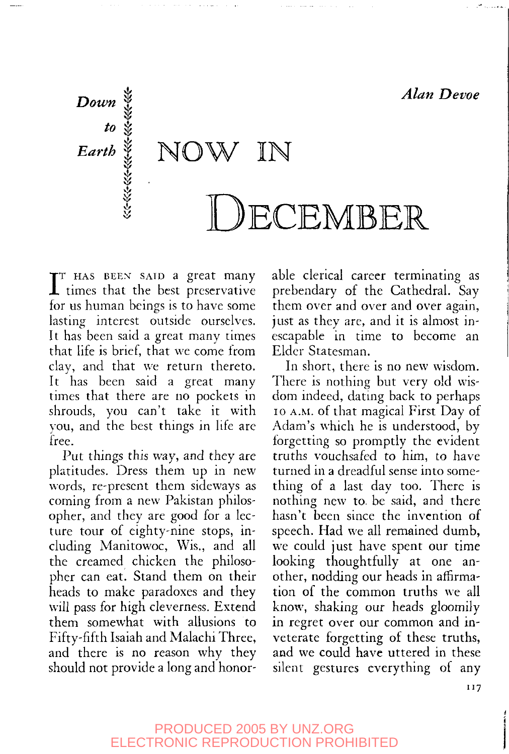

 $\prod_{\text{for}}^{\text{T}}$ HAS BEEN SAID a great many times that the best preservative for us human beings is to have some lasting interest outside ourselves. It has been said a great many times that life is brief, that we come from clay, and that we return thereto. It has been said a great many times that there are no pockets in shrouds, you can't take it with you, and the best things in life are free.

Put things this way, and they are platitudes. Dress them up in new words, re-present them sideways as coming from a new Pakistan philosopher, and they are good for a lecture tour of eighty-nine stops, including Manitowoc, Wis., and all the creamed chicken the philosopher can eat. Stand them on their heads to make paradoxes and they will pass for high cleverness. Extend them somewhat with allusions to Fifty-fifth Isaiah and Malachi Three, and there is no reason why they should not provide a long and honorable clerical career terminating as prebendary of the Cathedral. Say them over and over and over again, just as they are, and it is almost inescapable in time to become an Elder Statesman.

In short, there is no new wisdom. There is nothing but very old wisdom indeed, dating back to perhaps 10 A.M. of that magical First Day of Adam's which he is understood, by forgetting so promptly the evident truths vouchsafed to him, to have turned in a dreadful sense into something of a last day too. There is nothing new to. be said, and there hasn't been since the invention of speech. Had we all remained dumb, we could just have spent our time looking thoughtfully at one another, nodding our heads in affirmation of the common truths we all know, shaking our heads gloomily in regret over our common and inveterate forgetting of these truths, and we could have uttered in these silent gestures everything of any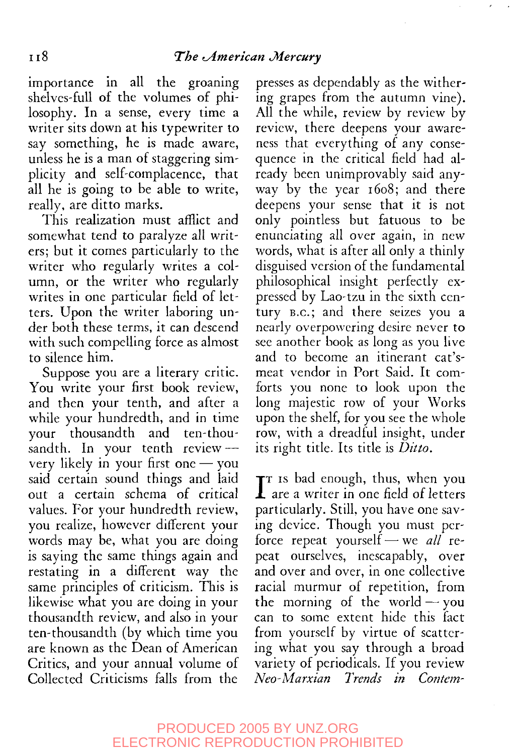importance in all the groaning shelves-full of the volumes of philosophy. In a sense, every time a writer sits down at his typewriter to say something, he is made aware, unless he is a man of staggering simplicity and self-complacence, that all he is going to be able to write, really, are ditto marks.

This realization must afflict and somewhat tend to paralyze all writers; but it comes particularly to the writer who regularly writes a column, or the writer who regularly writes in one particular field of letters. Upon the writer laboring under both these terms, it can descend with such compelling force as almost to silence him.

Suppose you are a literary critic. You write your first book review, and then your tenth, and after a while your hundredth, and in time your thousandth and ten-thousandth. In your tenth review -very likely in your first one — you said certain sound things and laid out a certain schema of critical values. For your hundredth review, you realize, however different your words may be, what you are doing is saying the same things again and restating in a different way the same principles of criticism. This is likewise what you are doing in your thousandth review, and also in your ten-thousandth (by which time you are known as the Dean of American Critics, and your annual volume of Collected Criticisms falls from the presses as dependably as the withering grapes from the autumn vine). All the while, review by review by review, there deepens your awareness that everything of any consequence in the critical field had already been unimprovably said anyway by the year 1608; and there deepens your sense that it is not only pointless but fatuous to be enunciating all over again, in new words, what is after all only a thinly disguised version of the fundamental philosophical insight perfectly expressed by Lao-tzu in the sixth century B.C.; and there seizes you a nearly overpowering desire never to see another book as long as you live and to become an itinerant cat'smeat vendor in Port Said. It comforts you none to look upon the long majestic row of your Works upon the shelf, for you see the whole row, with a dreadful insight, under its right title. Its title is *Ditto.*

 $\prod$ <sup>T</sup> is bad enough, thus, when you  $\boldsymbol{1}$  are a writer in one field of letters particularly. Still, you have one saving device. Though you must perforce repeat yourself—we *all* repeat ourselves, inescapably, over and over and over, in one collective racial murmur of repetition, from the morning of the world  $-$  you can to some extent hide this fact from yourself by virtue of scattering what you say through a broad variety of periodicals. If you review *Neo-Marxian Trends in Content-*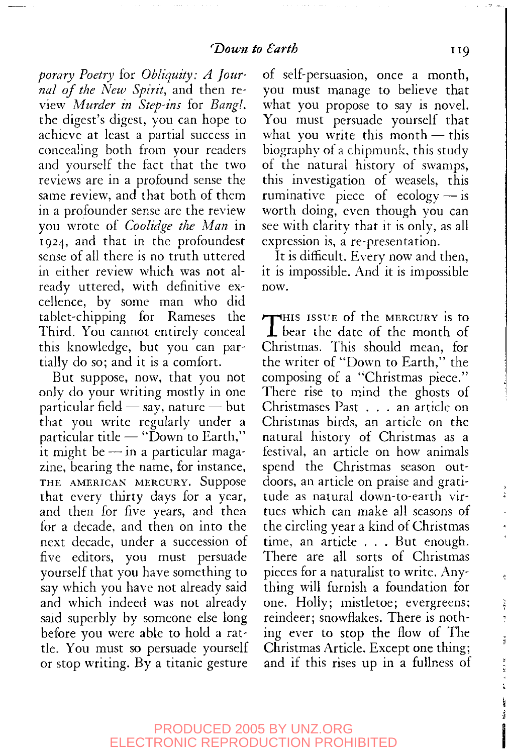*porary Poetry* for *Obliquity: A Journal of the New Spirit,* and then review *Murder in Step-ins* for *Bang!,* the digest's digest, you can hope to achieve at least a partial success in concealing both from your readers and yourself the fact that the two reviews are in a profound sense the same review, and that both of them in a profounder sense are the review you wrote of *Coulidge the Man* in 1924, and that in the profoundest sense of all there is no truth uttered in either review which was not already uttered, with definitive excellence, by some man who did tablet-chipping for Rameses the Third. You cannot entirely conceal this knowledge, but you can partially do so; and it is a comfort.

But suppose, now, that you not only do your writing mostly in one particular field — say, nature — but that you write regularly under a particular title — "Down to Earth," it might be — in a particular magazine, bearing the name, for instance, THE AMERICAN MERCURY. Suppose that every thirty days for a year, and then for five years, and then for a decade, and then on into the next decade, under a succession of five editors, you must persuade yourself that you have something to say which you have not already said and which indeed was not already said superbly by someone else long before you were able to hold a rattle. You must so persuade yourself or stop writing. By a titanic gesture

of self-persuasion, once a month, you must manage to believe that what you propose to say is novel. You must persuade yourself that what you write this month  $-$  this biography ot a chipmunk, this study of the natural history ot swamps, this investigation of weasels, this ruminative piece of  $ecology - is$ worth doing, even though you can see with clarity that it is only, as all expression is, a re-presentation.

It is difficult. Every now and then, it is impossible. And it is impossible now.

THIS ISSUE of the MERCURY is to<br>bear the date of the month of **1** bear the date of the month of Christmas. This should mean, for the writer of "Down to Earth," the composing of a "Christmas piece." There rise to mind the ghosts of Christmases Past .. . an article on Christmas birds, an article on the natural history of Christmas as a festival, an article on how animals spend the Christmas season outdoors, an article on praise and gratitude as natural down-to-earth virtues which can make all seasons of the circling year a kind of Christmas time, an article . . . But enough. There are all sorts of Christmas pieces for a naturalist to write. Anything will furnish a foundation for one. Holly; mistletoe; evergreens; reindeer; snowfiakes. There is nothing ever to stop the flow of The Christmas Article. Except one thing; and if this rises up in a fullness of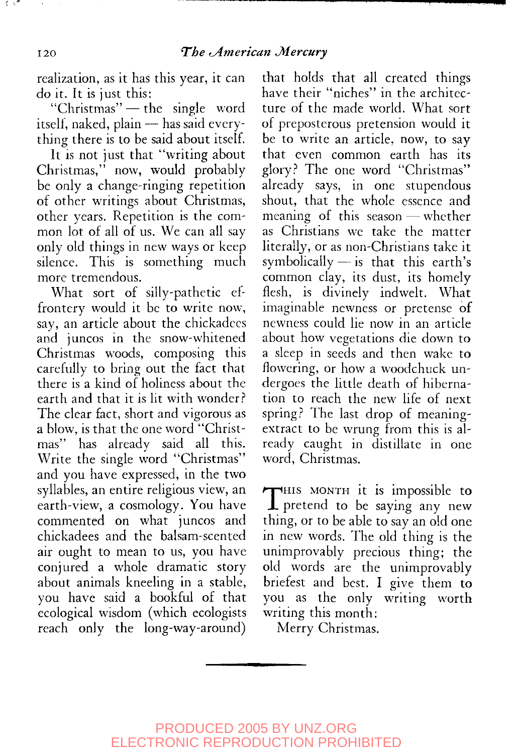realization, as it has this year, it can do it. It is just this:

"Christmas" — the single word itself, naked, plain — has said everything there is to be said about itself.

It is not just that "writing about Christmas," now, would probably be only a change-ringing repetition of other writings about Christmas, other years. Repetition is the common lot of all of us. We can all say only old things in new ways or keep silence. This is something much more tremendous.

What sort of silly-pathetic effrontery would it be to write now, say, an article about the chickadees and juncos in the snow-whitened Christmas woods, composing this carefully to bring out the fact that there is a kind of holiness about the earth and that it is lit with wonder? The clear fact, short and vigorous as a blow, is that the one word "Christmas" has already said all this. Write the single word "Christmas" and you have expressed, in the two syllables, an entire religious view, an earth-view, a cosmology. You have commented on what juncos and chickadees and the balsam-scented air ought to mean to us, you have conjured a whole dramatic story about animals kneeling in a stable, you have said a bookful of that ecological wisdom (which ecologists reach only the long-way-around)

that holds that all created things have their "niches" in the architecture of the made world. What sort of preposterous pretension would it be to write an article, now, to say that even common earth has its glory? The one word "Christmas" already says, in one stupendous shout, that the whole essence and meaning of this season — whether as Christians we take the matter literally, or as non-Christians take it symbolically — is that this earth's common clay, its dust, its homely flesh, is divinely indwelt. What imaginable newness or pretense of newness could lie now in an article about how vegetations die down to a sleep in seeds and then wake to flowering, or how a woodchuck undergoes the little death of hibernation to reach the new life of next spring? The last drop of meaningextract to be wrung from this is already caught in distillate in one word, Christmas.

THIS MONTH it is impossible to<br>pretend to be saying any new **1** pretend to be saying any new thing, or to be able to say an old one in new words. The old thing is the unimprovably precious thing; the old words are the unimprovably briefest and best. I give them to you as the only writing worth writing this month:

Merry Christmas.